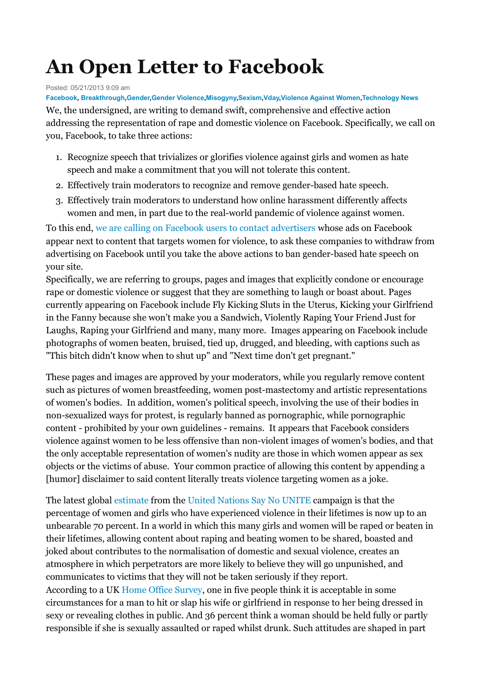## **An Open Letter to Facebook**

Posted: 05/21/2013 9:09 am

We, the undersigned, are writing to demand swift, comprehensive and effective action addressing the representation of rape and domestic violence on Facebook. Specifically, we call on you, Facebook, to take three actions: **[Facebook,](http://www.huffingtonpost.com/news/facebook) [Breakthrough,](http://www.huffingtonpost.com/news/breakthrough)[Gender,](http://www.huffingtonpost.com/news/gender)[Gender Violence,](http://www.huffingtonpost.com/news/gender-violence)[Misogyny](http://www.huffingtonpost.com/news/misogyny)[,Sexism,](http://www.huffingtonpost.com/news/sexism)[Vday](http://www.huffingtonpost.com/news/vday)[,Violence Against Women,](http://www.huffingtonpost.com/news/violence-against-women)[Technology News](http://www.huffingtonpost.com/technology)**

- 1. Recognize speech that trivializes or glorifies violence against girls and women as hate speech and make a commitment that you will not tolerate this content.
- 2. Effectively train moderators to recognize and remove gender-based hate speech.
- 3. Effectively train moderators to understand how online harassment differently affects women and men, in part due to the real-world pandemic of violence against women.

To this end, [we are calling on Facebook users to contact advertisers](http://www.womenactionmedia.org/facebookaction/open-letter-to-facebook/) whose ads on Facebook appear next to content that targets women for violence, to ask these companies to withdraw from advertising on Facebook until you take the above actions to ban gender-based hate speech on your site.

Specifically, we are referring to groups, pages and images that explicitly condone or encourage rape or domestic violence or suggest that they are something to laugh or boast about. Pages currently appearing on Facebook include Fly Kicking Sluts in the Uterus, Kicking your Girlfriend in the Fanny because she won't make you a Sandwich, Violently Raping Your Friend Just for Laughs, Raping your Girlfriend and many, many more. Images appearing on Facebook include photographs of women beaten, bruised, tied up, drugged, and bleeding, with captions such as "This bitch didn't know when to shut up" and "Next time don't get pregnant."

These pages and images are approved by your moderators, while you regularly remove content such as pictures of women breastfeeding, women post-mastectomy and artistic representations of women's bodies. In addition, women's political speech, involving the use of their bodies in non-sexualized ways for protest, is regularly banned as pornographic, while pornographic content - prohibited by your own guidelines - remains. It appears that Facebook considers violence against women to be less offensive than non-violent images of women's bodies, and that the only acceptable representation of women's nudity are those in which women appear as sex objects or the victims of abuse. Your common practice of allowing this content by appending a [humor] disclaimer to said content literally treats violence targeting women as a joke.

The latest global [estimate](http://saynotoviolence.org/issue/facts-and-figures) from the [United Nations Say No UNITE](http://saynotoviolence.org/) campaign is that the percentage of women and girls who have experienced violence in their lifetimes is now up to an unbearable 70 percent. In a world in which this many girls and women will be raped or beaten in their lifetimes, allowing content about raping and beating women to be shared, boasted and joked about contributes to the normalisation of domestic and sexual violence, creates an atmosphere in which perpetrators are more likely to believe they will go unpunished, and communicates to victims that they will not be taken seriously if they report. According to a UK [Home Office Survey,](http://webarchive.nationalarchives.gov.uk/+/http:/www.homeoffice.gov.uk/documents/violence-against-women-poll?view=Binary) one in five people think it is acceptable in some circumstances for a man to hit or slap his wife or girlfriend in response to her being dressed in sexy or revealing clothes in public. And 36 percent think a woman should be held fully or partly responsible if she is sexually assaulted or raped whilst drunk. Such attitudes are shaped in part